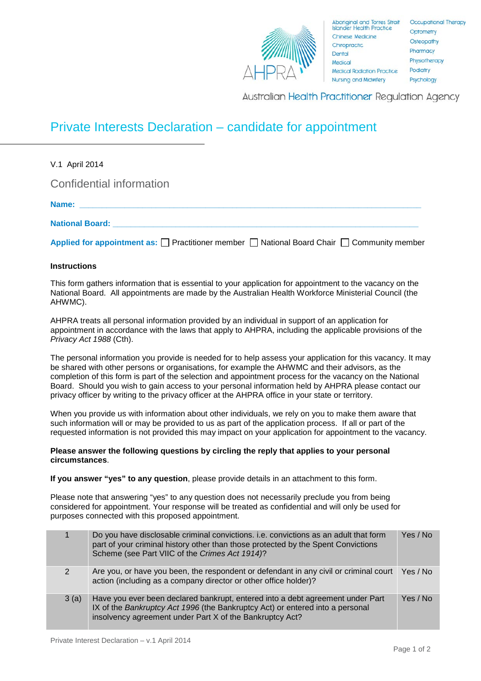

**Australian Health Practitioner Regulation Agency** 

## Private Interests Declaration – candidate for appointment

| V.1 April 2014                                                                                             |
|------------------------------------------------------------------------------------------------------------|
| Confidential information                                                                                   |
|                                                                                                            |
| <b>National Board:</b> National Board:                                                                     |
| Applied for appointment as: $\Box$ Practitioner member $\Box$ National Board Chair $\Box$ Community member |

## **Instructions**

This form gathers information that is essential to your application for appointment to the vacancy on the National Board. All appointments are made by the Australian Health Workforce Ministerial Council (the AHWMC).

AHPRA treats all personal information provided by an individual in support of an application for appointment in accordance with the laws that apply to AHPRA, including the applicable provisions of the *Privacy Act 1988* (Cth).

The personal information you provide is needed for to help assess your application for this vacancy. It may be shared with other persons or organisations, for example the AHWMC and their advisors, as the completion of this form is part of the selection and appointment process for the vacancy on the National Board. Should you wish to gain access to your personal information held by AHPRA please contact our privacy officer by writing to the privacy officer at the AHPRA office in your state or territory.

When you provide us with information about other individuals, we rely on you to make them aware that such information will or may be provided to us as part of the application process. If all or part of the requested information is not provided this may impact on your application for appointment to the vacancy.

## **Please answer the following questions by circling the reply that applies to your personal circumstances**.

**If you answer "yes" to any question**, please provide details in an attachment to this form.

Please note that answering "yes" to any question does not necessarily preclude you from being considered for appointment. Your response will be treated as confidential and will only be used for purposes connected with this proposed appointment.

|      | Do you have disclosable criminal convictions. i.e. convictions as an adult that form<br>part of your criminal history other than those protected by the Spent Convictions<br>Scheme (see Part VIIC of the Crimes Act 1914)? | Yes / No |
|------|-----------------------------------------------------------------------------------------------------------------------------------------------------------------------------------------------------------------------------|----------|
| 2    | Are you, or have you been, the respondent or defendant in any civil or criminal court Yes / No<br>action (including as a company director or other office holder)?                                                          |          |
| 3(a) | Have you ever been declared bankrupt, entered into a debt agreement under Part<br>IX of the Bankruptcy Act 1996 (the Bankruptcy Act) or entered into a personal<br>insolvency agreement under Part X of the Bankruptcy Act? | Yes / No |